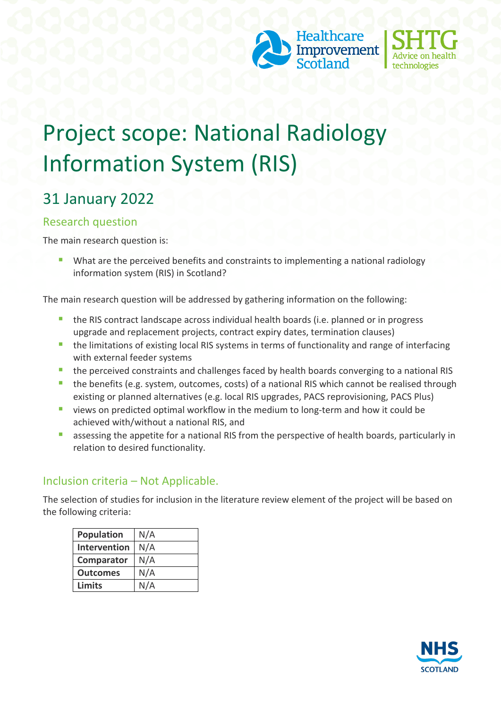



# Project scope: National Radiology Information System (RIS)

# 31 January 2022

#### Research question

The main research question is:

 What are the perceived benefits and constraints to implementing a national radiology information system (RIS) in Scotland?

The main research question will be addressed by gathering information on the following:

- the RIS contract landscape across individual health boards (i.e. planned or in progress upgrade and replacement projects, contract expiry dates, termination clauses)
- **the limitations of existing local RIS systems in terms of functionality and range of interfacing** with external feeder systems
- **the perceived constraints and challenges faced by health boards converging to a national RIS**
- **the benefits (e.g. system, outcomes, costs) of a national RIS which cannot be realised through** existing or planned alternatives (e.g. local RIS upgrades, PACS reprovisioning, PACS Plus)
- views on predicted optimal workflow in the medium to long-term and how it could be achieved with/without a national RIS, and
- **EXTERGHTM** assessing the appetite for a national RIS from the perspective of health boards, particularly in relation to desired functionality.

#### Inclusion criteria – Not Applicable.

The selection of studies for inclusion in the literature review element of the project will be based on the following criteria:

| <b>Population</b> | N/A |
|-------------------|-----|
| Intervention      | N/A |
| Comparator        | N/A |
| <b>Outcomes</b>   | N/A |
| <b>Limits</b>     | N/A |